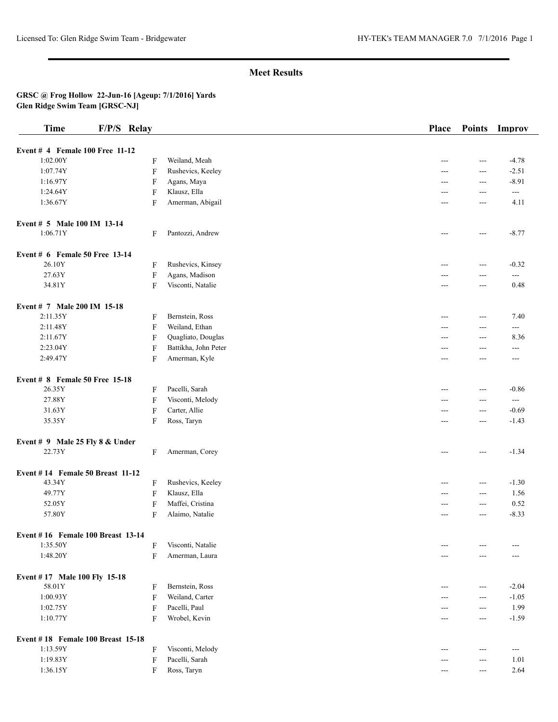## **Meet Results**

## **GRSC @ Frog Hollow 22-Jun-16 [Ageup: 7/1/2016] Yards Glen Ridge Swim Team [GRSC-NJ]**

| <b>Time</b>                              | F/P/S Relay |                      | <b>Place</b> | <b>Points</b> | Improv   |
|------------------------------------------|-------------|----------------------|--------------|---------------|----------|
| Event # 4 Female 100 Free 11-12          |             |                      |              |               |          |
| 1:02.00Y                                 | F           | Weiland, Meah        | ---          | $---$         | $-4.78$  |
| 1:07.74Y                                 | F           | Rushevics, Keeley    | ---          | ---           | $-2.51$  |
| 1:16.97Y                                 | F           | Agans, Maya          | ---          | ---           | $-8.91$  |
| 1:24.64Y                                 | F           | Klausz, Ella         | ---          | ---           | ---      |
| 1:36.67Y                                 | F           | Amerman, Abigail     | ---          | ---           | 4.11     |
|                                          |             |                      |              |               |          |
| Event # 5 Male 100 IM 13-14<br>1:06.71Y  | F           | Pantozzi, Andrew     |              |               | $-8.77$  |
|                                          |             |                      | ---          | $---$         |          |
| Event # 6 Female 50 Free 13-14           |             |                      |              |               |          |
| 26.10Y                                   | F           | Rushevics, Kinsey    | ---          | $---$         | $-0.32$  |
| 27.63Y                                   | F           | Agans, Madison       | ---          | ---           | $---$    |
| 34.81Y                                   | F           | Visconti, Natalie    | ---          | $---$         | 0.48     |
| Event # 7 Male 200 IM 15-18              |             |                      |              |               |          |
| 2:11.35Y                                 | F           | Bernstein, Ross      | $---$        | $---$         | 7.40     |
| 2:11.48Y                                 | F           | Weiland, Ethan       | ---          | ---           | ---      |
| 2:11.67Y                                 | F           | Quagliato, Douglas   | ---          | ---           | 8.36     |
| 2:23.04Y                                 | F           | Battikha, John Peter | ---          | ---           | ---      |
| 2:49.47Y                                 | F           | Amerman, Kyle        | $---$        | ---           | $---$    |
|                                          |             |                      |              |               |          |
| Event # 8 Female 50 Free 15-18           |             |                      |              |               |          |
| 26.35Y                                   | F           | Pacelli, Sarah       | ---          | ---           | $-0.86$  |
| 27.88Y                                   | F           | Visconti, Melody     | ---          | ---           | $\cdots$ |
| 31.63Y                                   | F           | Carter, Allie        |              | ---           | $-0.69$  |
| 35.35Y                                   | F           | Ross, Taryn          | ---          | $---$         | $-1.43$  |
| Event # 9 Male 25 Fly $8 &$ Under        |             |                      |              |               |          |
| 22.73Y                                   | F           | Amerman, Corey       | ---          | $---$         | $-1.34$  |
| Event #14 Female 50 Breast 11-12         |             |                      |              |               |          |
| 43.34Y                                   | F           | Rushevics, Keeley    | ---          | $---$         | $-1.30$  |
| 49.77Y                                   | F           | Klausz, Ella         | ---          | $---$         | 1.56     |
| 52.05Y                                   | $\mathbf F$ | Maffei, Cristina     | ---          | $---$         | 0.52     |
| 57.80Y                                   | F           | Alaimo, Natalie      | ---          | ---           | $-8.33$  |
|                                          |             |                      |              |               |          |
| Event #16 Female 100 Breast 13-14        |             |                      |              |               |          |
| 1:35.50Y                                 | F           | Visconti, Natalie    |              |               |          |
| 1:48.20Y                                 | F           | Amerman, Laura       |              | ---           |          |
| Event #17 Male 100 Fly 15-18             |             |                      |              |               |          |
| 58.01Y                                   | F           | Bernstein, Ross      |              | ---           | $-2.04$  |
| 1:00.93Y                                 | F           | Weiland, Carter      | ---          | ---           | $-1.05$  |
| 1:02.75Y                                 | F           | Pacelli, Paul        |              | $---$         | 1.99     |
| 1:10.77Y                                 | F           | Wrobel, Kevin        |              | $---$         | $-1.59$  |
|                                          |             |                      |              |               |          |
| <b>Event #18 Female 100 Breast 15-18</b> |             |                      |              |               |          |
| 1:13.59Y                                 | F           | Visconti, Melody     |              | $---$         | $---$    |
| 1:19.83Y                                 | F           | Pacelli, Sarah       |              | ---           | 1.01     |
| 1:36.15Y                                 | F           | Ross, Taryn          | ---          | $---$         | 2.64     |